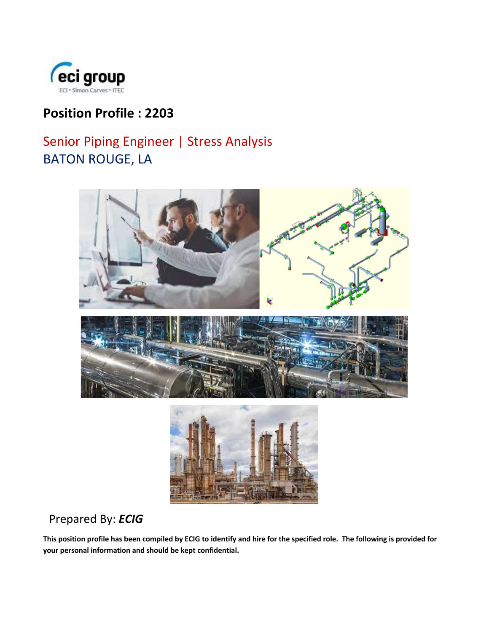

# **Position Profile : 2203**

# Senior Piping Engineer | Stress Analysis BATON ROUGE, LA



## Prepared By: *ECIG*

**This position profile has been compiled by ECIG to identify and hire for the specified role. The following is provided for your personal information and should be kept confidential.**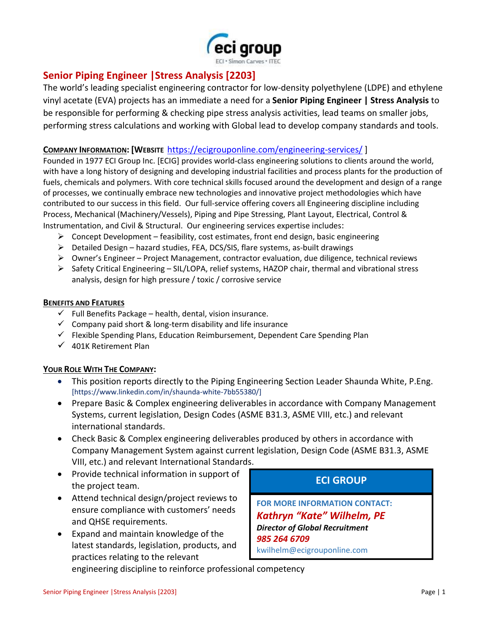

### **Senior Piping Engineer |Stress Analysis [2203]**

The world's leading specialist engineering contractor for low-density polyethylene (LDPE) and ethylene vinyl acetate (EVA) projects has an immediate a need for a **Senior Piping Engineer | Stress Analysis** to be responsible for performing & checking pipe stress analysis activities, lead teams on smaller jobs, performing stress calculations and working with Global lead to develop company standards and tools.

#### **COMPANY INFORMATION: [WEBSITE** <https://ecigrouponline.com/engineering-services/> ]

Founded in 1977 ECI Group Inc. [ECIG] provides world-class engineering solutions to clients around the world, with have a long history of designing and developing industrial facilities and process plants for the production of fuels, chemicals and polymers. With core technical skills focused around the development and design of a range of processes, we continually embrace new technologies and innovative project methodologies which have contributed to our success in this field. Our full-service offering covers all Engineering discipline including Process, Mechanical (Machinery/Vessels), Piping and Pipe Stressing, Plant Layout, Electrical, Control & Instrumentation, and Civil & Structural. Our engineering services expertise includes:

- $\triangleright$  Concept Development feasibility, cost estimates, front end design, basic engineering
- ➢ Detailed Design hazard studies, FEA, DCS/SIS, flare systems, as-built drawings
- ➢ Owner's Engineer Project Management, contractor evaluation, due diligence, technical reviews
- $\triangleright$  Safety Critical Engineering SIL/LOPA, relief systems, HAZOP chair, thermal and vibrational stress analysis, design for high pressure / toxic / corrosive service

#### **BENEFITS AND FEATURES**

- $\checkmark$  Full Benefits Package health, dental, vision insurance.
- $\checkmark$  Company paid short & long-term disability and life insurance
- ✓ Flexible Spending Plans, Education Reimbursement, Dependent Care Spending Plan
- $\checkmark$  401K Retirement Plan

#### **YOUR ROLE WITH THE COMPANY:**

- This position reports directly to the Piping Engineering Section Leader Shaunda White, P.Eng. [https://www.linkedin.com/in/shaunda-white-7bb55380/]
- Prepare Basic & Complex engineering deliverables in accordance with Company Management Systems, current legislation, Design Codes (ASME B31.3, ASME VIII, etc.) and relevant international standards.
- Check Basic & Complex engineering deliverables produced by others in accordance with Company Management System against current legislation, Design Code (ASME B31.3, ASME VIII, etc.) and relevant International Standards.
- Provide technical information in support of the project team.
- Attend technical design/project reviews to ensure compliance with customers' needs and QHSE requirements.
- Expand and maintain knowledge of the latest standards, legislation, products, and practices relating to the relevant

## **ECI GROUP**

**FOR MORE INFORMATION CONTACT:** *Kathryn "Kate" Wilhelm, PE Director of Global Recruitment 985 264 6709* kwilhelm@ecigrouponline.com

engineering discipline to reinforce professional competency